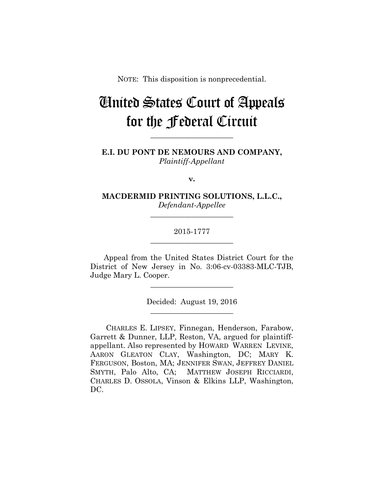NOTE: This disposition is nonprecedential.

# United States Court of Appeals for the Federal Circuit

**E.I. DU PONT DE NEMOURS AND COMPANY,** *Plaintiff-Appellant*

**\_\_\_\_\_\_\_\_\_\_\_\_\_\_\_\_\_\_\_\_\_\_** 

**v.**

**MACDERMID PRINTING SOLUTIONS, L.L.C.,** *Defendant-Appellee*

**\_\_\_\_\_\_\_\_\_\_\_\_\_\_\_\_\_\_\_\_\_\_** 

## 2015-1777 **\_\_\_\_\_\_\_\_\_\_\_\_\_\_\_\_\_\_\_\_\_\_**

Appeal from the United States District Court for the District of New Jersey in No. 3:06-cv-03383-MLC-TJB, Judge Mary L. Cooper.

**\_\_\_\_\_\_\_\_\_\_\_\_\_\_\_\_\_\_\_\_\_\_** 

Decided: August 19, 2016 **\_\_\_\_\_\_\_\_\_\_\_\_\_\_\_\_\_\_\_\_\_\_** 

 CHARLES E. LIPSEY, Finnegan, Henderson, Farabow, Garrett & Dunner, LLP, Reston, VA, argued for plaintiffappellant. Also represented by HOWARD WARREN LEVINE, AARON GLEATON CLAY, Washington, DC; MARY K. FERGUSON, Boston, MA; JENNIFER SWAN, JEFFREY DANIEL SMYTH, Palo Alto, CA; MATTHEW JOSEPH RICCIARDI, CHARLES D. OSSOLA, Vinson & Elkins LLP, Washington, DC.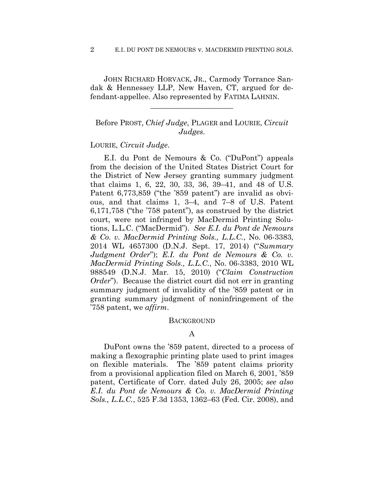JOHN RICHARD HORVACK, JR., Carmody Torrance Sandak & Hennessey LLP, New Haven, CT, argued for defendant-appellee. Also represented by FATIMA LAHNIN.

**\_\_\_\_\_\_\_\_\_\_\_\_\_\_\_\_\_\_\_\_\_\_** 

Before PROST, *Chief Judge*, PLAGER and LOURIE, *Circuit Judges*.

### LOURIE, *Circuit Judge*.

E.I. du Pont de Nemours & Co. ("DuPont") appeals from the decision of the United States District Court for the District of New Jersey granting summary judgment that claims 1, 6, 22, 30, 33, 36, 39–41, and 48 of U.S. Patent 6,773,859 ("the '859 patent") are invalid as obvious, and that claims 1, 3–4, and 7–8 of U.S. Patent 6,171,758 ("the '758 patent"), as construed by the district court, were not infringed by MacDermid Printing Solutions, L.L.C. ("MacDermid"). *See E.I. du Pont de Nemours & Co. v. MacDermid Printing Sols., L.L.C.*, No. 06-3383, 2014 WL 4657300 (D.N.J. Sept. 17, 2014) ("*Summary Judgment Order*"); *E.I. du Pont de Nemours & Co. v. MacDermid Printing Sols., L.L.C.*, No. 06-3383, 2010 WL 988549 (D.N.J. Mar. 15, 2010) ("*Claim Construction Order*"). Because the district court did not err in granting summary judgment of invalidity of the '859 patent or in granting summary judgment of noninfringement of the '758 patent, we *affirm*.

#### **BACKGROUND**

## A

DuPont owns the '859 patent, directed to a process of making a flexographic printing plate used to print images on flexible materials. The '859 patent claims priority from a provisional application filed on March 6, 2001, '859 patent, Certificate of Corr. dated July 26, 2005; *see also E.I. du Pont de Nemours & Co. v. MacDermid Printing Sols., L.L.C.*, 525 F.3d 1353, 1362–63 (Fed. Cir. 2008), and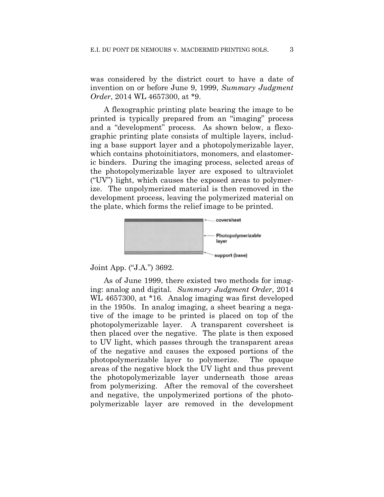was considered by the district court to have a date of invention on or before June 9, 1999, *Summary Judgment Order*, 2014 WL 4657300, at \*9.

A flexographic printing plate bearing the image to be printed is typically prepared from an "imaging" process and a "development" process. As shown below, a flexographic printing plate consists of multiple layers, including a base support layer and a photopolymerizable layer, which contains photoinitiators, monomers, and elastomeric binders. During the imaging process, selected areas of the photopolymerizable layer are exposed to ultraviolet ("UV") light, which causes the exposed areas to polymerize. The unpolymerized material is then removed in the development process, leaving the polymerized material on the plate, which forms the relief image to be printed.



Joint App. ("J.A.") 3692.

As of June 1999, there existed two methods for imaging: analog and digital. *Summary Judgment Order*, 2014 WL 4657300, at \*16. Analog imaging was first developed in the 1950s. In analog imaging, a sheet bearing a negative of the image to be printed is placed on top of the photopolymerizable layer. A transparent coversheet is then placed over the negative. The plate is then exposed to UV light, which passes through the transparent areas of the negative and causes the exposed portions of the photopolymerizable layer to polymerize. The opaque areas of the negative block the UV light and thus prevent the photopolymerizable layer underneath those areas from polymerizing. After the removal of the coversheet and negative, the unpolymerized portions of the photopolymerizable layer are removed in the development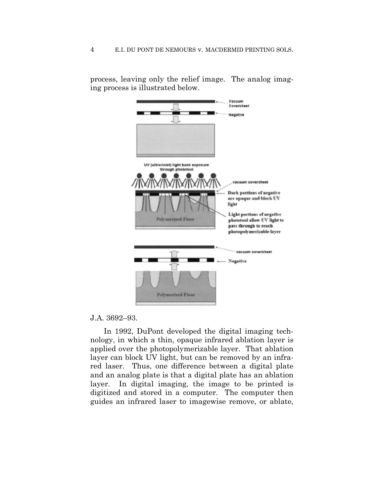process, leaving only the relief image. The analog imaging process is illustrated below.

|                                                           | Vacuum                                                                                                         |
|-----------------------------------------------------------|----------------------------------------------------------------------------------------------------------------|
|                                                           | Coversheet                                                                                                     |
|                                                           | Negative                                                                                                       |
| UV (ultraviolet) light bank exposure<br>through phototool |                                                                                                                |
| <b><i>MAXIMANYINAINAIN</i></b>                            | vacuum coversheet                                                                                              |
|                                                           | Dark portions of negative<br>are opaque and block UV<br>light                                                  |
| <b>Polymerized Floor</b>                                  | Light portions of negative<br>phototool allow UV light to<br>pass through to reach<br>photopolymerizable layer |
|                                                           | vacuum coversheet                                                                                              |
|                                                           | Negative                                                                                                       |
|                                                           |                                                                                                                |
| <b>Polymerized Floor</b>                                  |                                                                                                                |

## J.A. 3692–93.

In 1992, DuPont developed the digital imaging technology, in which a thin, opaque infrared ablation layer is applied over the photopolymerizable layer. That ablation layer can block UV light, but can be removed by an infrared laser. Thus, one difference between a digital plate and an analog plate is that a digital plate has an ablation layer. In digital imaging, the image to be printed is digitized and stored in a computer. The computer then guides an infrared laser to imagewise remove, or ablate,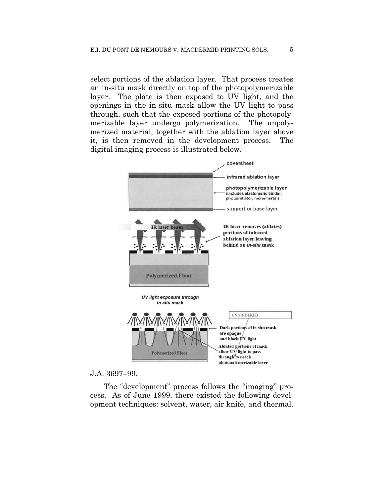select portions of the ablation layer. That process creates an in-situ mask directly on top of the photopolymerizable layer. The plate is then exposed to UV light, and the openings in the in-situ mask allow the UV light to pass through, such that the exposed portions of the photopolymerizable layer undergo polymerization. The unpolymerized material, together with the ablation layer above it, is then removed in the development process. The digital imaging process is illustrated below.



## J.A. 3697–99.

The "development" process follows the "imaging" process. As of June 1999, there existed the following development techniques: solvent, water, air knife, and thermal.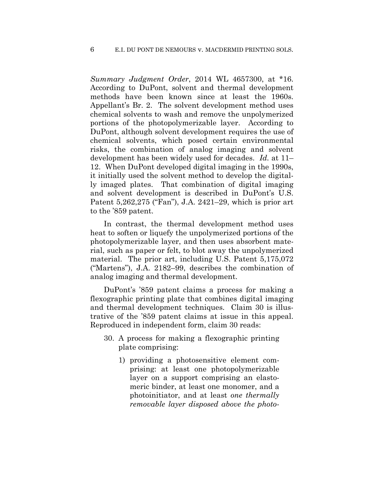*Summary Judgment Order*, 2014 WL 4657300, at \*16. According to DuPont, solvent and thermal development methods have been known since at least the 1960s. Appellant's Br. 2. The solvent development method uses chemical solvents to wash and remove the unpolymerized portions of the photopolymerizable layer. According to DuPont, although solvent development requires the use of chemical solvents, which posed certain environmental risks, the combination of analog imaging and solvent development has been widely used for decades. *Id.* at 11– 12. When DuPont developed digital imaging in the 1990s, it initially used the solvent method to develop the digitally imaged plates. That combination of digital imaging and solvent development is described in DuPont's U.S. Patent 5,262,275 ("Fan"), J.A. 2421–29, which is prior art to the '859 patent.

In contrast, the thermal development method uses heat to soften or liquefy the unpolymerized portions of the photopolymerizable layer, and then uses absorbent material, such as paper or felt, to blot away the unpolymerized material. The prior art, including U.S. Patent 5,175,072 ("Martens"), J.A. 2182–99, describes the combination of analog imaging and thermal development.

DuPont's '859 patent claims a process for making a flexographic printing plate that combines digital imaging and thermal development techniques. Claim 30 is illustrative of the '859 patent claims at issue in this appeal. Reproduced in independent form, claim 30 reads:

- 30. A process for making a flexographic printing plate comprising:
	- 1) providing a photosensitive element comprising: at least one photopolymerizable layer on a support comprising an elastomeric binder, at least one monomer, and a photoinitiator, and at least *one thermally removable layer disposed above the photo-*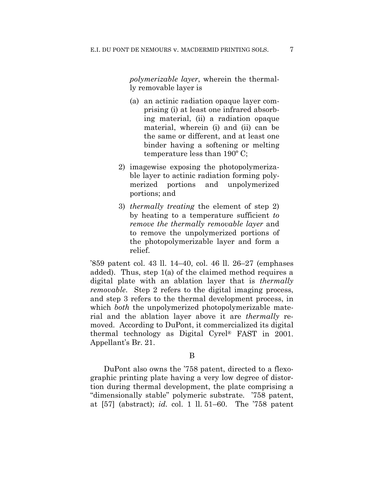*polymerizable layer*, wherein the thermally removable layer is

- (a) an actinic radiation opaque layer comprising (i) at least one infrared absorbing material, (ii) a radiation opaque material, wherein (i) and (ii) can be the same or different, and at least one binder having a softening or melting temperature less than 190º C;
- 2) imagewise exposing the photopolymerizable layer to actinic radiation forming polymerized portions and unpolymerized portions; and
- 3) *thermally treating* the element of step 2) by heating to a temperature sufficient *to remove the thermally removable layer* and to remove the unpolymerized portions of the photopolymerizable layer and form a relief.

'859 patent col. 43 ll. 14–40, col. 46 ll. 26–27 (emphases added). Thus, step 1(a) of the claimed method requires a digital plate with an ablation layer that is *thermally removable.* Step 2 refers to the digital imaging process, and step 3 refers to the thermal development process, in which *both* the unpolymerized photopolymerizable material and the ablation layer above it are *thermally* removed. According to DuPont, it commercialized its digital thermal technology as Digital Cyrel® FAST in 2001. Appellant's Br. 21.

## B

DuPont also owns the '758 patent, directed to a flexographic printing plate having a very low degree of distortion during thermal development, the plate comprising a "dimensionally stable" polymeric substrate. '758 patent, at [57] (abstract); *id.* col. 1 ll. 51–60. The '758 patent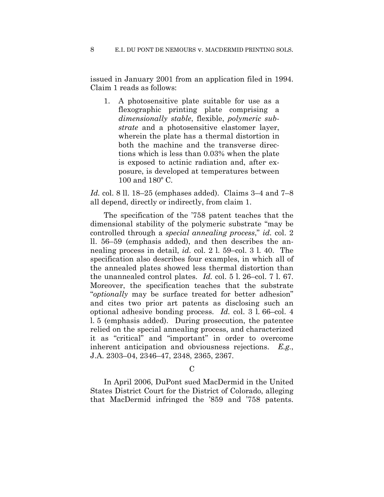issued in January 2001 from an application filed in 1994. Claim 1 reads as follows:

1. A photosensitive plate suitable for use as a flexographic printing plate comprising a *dimensionally stable*, flexible, *polymeric substrate* and a photosensitive elastomer layer, wherein the plate has a thermal distortion in both the machine and the transverse directions which is less than 0.03% when the plate is exposed to actinic radiation and, after exposure, is developed at temperatures between 100 and 180º C.

*Id.* col. 8 ll. 18–25 (emphases added). Claims 3–4 and 7–8 all depend, directly or indirectly, from claim 1.

The specification of the '758 patent teaches that the dimensional stability of the polymeric substrate "may be controlled through a *special annealing process*," *id.* col. 2 ll. 56–59 (emphasis added), and then describes the annealing process in detail, *id.* col. 2 l. 59–col. 3 l. 40. The specification also describes four examples, in which all of the annealed plates showed less thermal distortion than the unannealed control plates. *Id.* col. 5 l. 26–col. 7 l. 67. Moreover, the specification teaches that the substrate "*optionally* may be surface treated for better adhesion" and cites two prior art patents as disclosing such an optional adhesive bonding process. *Id.* col. 3 l. 66–col. 4 l. 5 (emphasis added). During prosecution, the patentee relied on the special annealing process, and characterized it as "critical" and "important" in order to overcome inherent anticipation and obviousness rejections. *E.g.*, J.A. 2303–04, 2346–47, 2348, 2365, 2367.

 $\overline{C}$ 

In April 2006, DuPont sued MacDermid in the United States District Court for the District of Colorado, alleging that MacDermid infringed the '859 and '758 patents.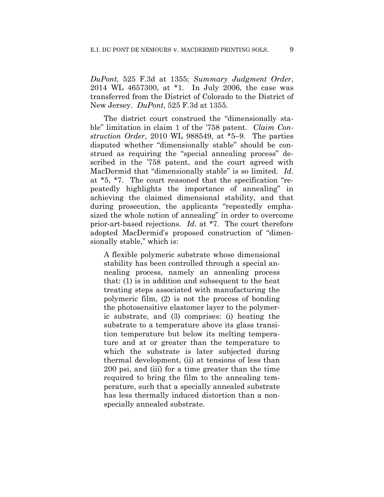*DuPont*, 525 F.3d at 1355; *Summary Judgment Order*, 2014 WL 4657300, at \*1. In July 2006, the case was transferred from the District of Colorado to the District of New Jersey. *DuPont*, 525 F.3d at 1355.

The district court construed the "dimensionally stable" limitation in claim 1 of the '758 patent. *Claim Construction Order*, 2010 WL 988549, at \*5–9. The parties disputed whether "dimensionally stable" should be construed as requiring the "special annealing process" described in the '758 patent, and the court agreed with MacDermid that "dimensionally stable" is so limited. *Id.* at \*5, \*7. The court reasoned that the specification "repeatedly highlights the importance of annealing" in achieving the claimed dimensional stability, and that during prosecution, the applicants "repeatedly emphasized the whole notion of annealing" in order to overcome prior-art-based rejections. *Id.* at \*7. The court therefore adopted MacDermid's proposed construction of "dimensionally stable," which is:

A flexible polymeric substrate whose dimensional stability has been controlled through a special annealing process, namely an annealing process that: (1) is in addition and subsequent to the heat treating steps associated with manufacturing the polymeric film, (2) is not the process of bonding the photosensitive elastomer layer to the polymeric substrate, and (3) comprises: (i) heating the substrate to a temperature above its glass transition temperature but below its melting temperature and at or greater than the temperature to which the substrate is later subjected during thermal development, (ii) at tensions of less than 200 psi, and (iii) for a time greater than the time required to bring the film to the annealing temperature, such that a specially annealed substrate has less thermally induced distortion than a nonspecially annealed substrate.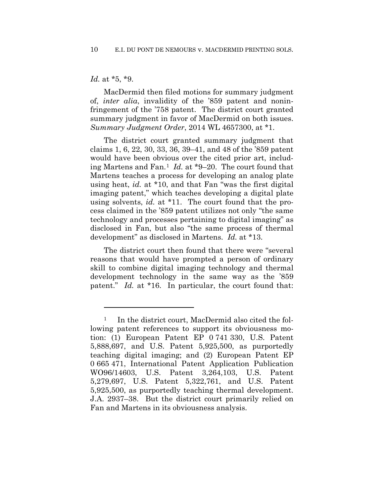#### *Id.* at \*5, \*9.

1

MacDermid then filed motions for summary judgment of, *inter alia*, invalidity of the '859 patent and noninfringement of the '758 patent. The district court granted summary judgment in favor of MacDermid on both issues. *Summary Judgment Order*, 2014 WL 4657300, at \*1.

The district court granted summary judgment that claims 1, 6, 22, 30, 33, 36, 39–41, and 48 of the '859 patent would have been obvious over the cited prior art, including Martens and Fan.1 *Id.* at \*9–20. The court found that Martens teaches a process for developing an analog plate using heat, *id.* at \*10, and that Fan "was the first digital imaging patent," which teaches developing a digital plate using solvents, *id.* at \*11. The court found that the process claimed in the '859 patent utilizes not only "the same technology and processes pertaining to digital imaging" as disclosed in Fan, but also "the same process of thermal development" as disclosed in Martens. *Id.* at \*13.

The district court then found that there were "several reasons that would have prompted a person of ordinary skill to combine digital imaging technology and thermal development technology in the same way as the '859 patent." *Id.* at \*16. In particular, the court found that:

<sup>&</sup>lt;sup>1</sup> In the district court, MacDermid also cited the following patent references to support its obviousness motion: (1) European Patent EP 0 741 330, U.S. Patent 5,888,697, and U.S. Patent 5,925,500, as purportedly teaching digital imaging; and (2) European Patent EP 0 665 471, International Patent Application Publication WO96/14603, U.S. Patent 3,264,103, U.S. Patent 5,279,697, U.S. Patent 5,322,761, and U.S. Patent 5,925,500, as purportedly teaching thermal development. J.A. 2937–38. But the district court primarily relied on Fan and Martens in its obviousness analysis.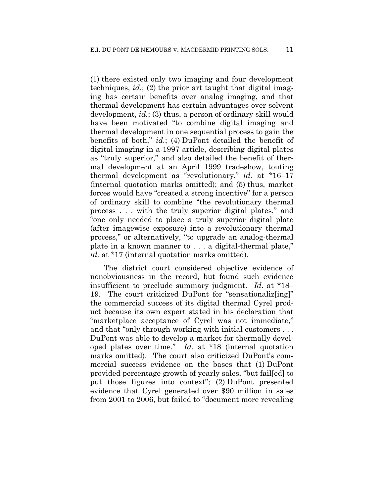(1) there existed only two imaging and four development techniques, *id.*; (2) the prior art taught that digital imaging has certain benefits over analog imaging, and that thermal development has certain advantages over solvent development, *id.*; (3) thus, a person of ordinary skill would have been motivated "to combine digital imaging and thermal development in one sequential process to gain the benefits of both," *id.*; (4) DuPont detailed the benefit of digital imaging in a 1997 article, describing digital plates as "truly superior," and also detailed the benefit of thermal development at an April 1999 tradeshow, touting thermal development as "revolutionary," *id.* at \*16–17 (internal quotation marks omitted); and (5) thus, market forces would have "created a strong incentive" for a person of ordinary skill to combine "the revolutionary thermal process . . . with the truly superior digital plates," and "one only needed to place a truly superior digital plate (after imagewise exposure) into a revolutionary thermal process," or alternatively, "to upgrade an analog-thermal plate in a known manner to . . . a digital-thermal plate," id. at \*17 (internal quotation marks omitted).

The district court considered objective evidence of nonobviousness in the record, but found such evidence insufficient to preclude summary judgment. *Id.* at \*18– 19. The court criticized DuPont for "sensationaliz[ing]" the commercial success of its digital thermal Cyrel product because its own expert stated in his declaration that "marketplace acceptance of Cyrel was not immediate," and that "only through working with initial customers . . . DuPont was able to develop a market for thermally developed plates over time." *Id.* at \*18 (internal quotation marks omitted). The court also criticized DuPont's commercial success evidence on the bases that (1) DuPont provided percentage growth of yearly sales, "but fail[ed] to put those figures into context"; (2) DuPont presented evidence that Cyrel generated over \$90 million in sales from 2001 to 2006, but failed to "document more revealing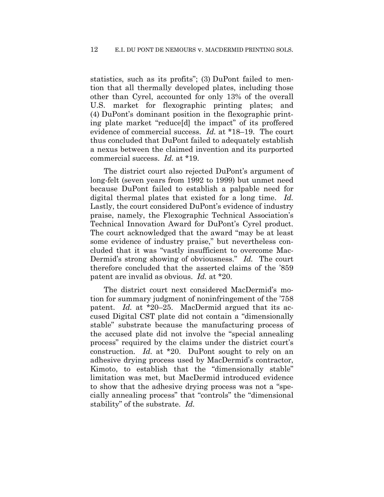statistics, such as its profits"; (3) DuPont failed to mention that all thermally developed plates, including those other than Cyrel, accounted for only 13% of the overall U.S. market for flexographic printing plates; and (4) DuPont's dominant position in the flexographic printing plate market "reduce[d] the impact" of its proffered evidence of commercial success. *Id.* at \*18–19. The court thus concluded that DuPont failed to adequately establish a nexus between the claimed invention and its purported commercial success. *Id.* at \*19.

The district court also rejected DuPont's argument of long-felt (seven years from 1992 to 1999) but unmet need because DuPont failed to establish a palpable need for digital thermal plates that existed for a long time. *Id.* Lastly, the court considered DuPont's evidence of industry praise, namely, the Flexographic Technical Association's Technical Innovation Award for DuPont's Cyrel product. The court acknowledged that the award "may be at least some evidence of industry praise," but nevertheless concluded that it was "vastly insufficient to overcome Mac-Dermid's strong showing of obviousness." *Id.* The court therefore concluded that the asserted claims of the '859 patent are invalid as obvious. *Id.* at \*20.

The district court next considered MacDermid's motion for summary judgment of noninfringement of the '758 patent. *Id.* at \*20–25. MacDermid argued that its accused Digital CST plate did not contain a "dimensionally stable" substrate because the manufacturing process of the accused plate did not involve the "special annealing process" required by the claims under the district court's construction. *Id.* at \*20. DuPont sought to rely on an adhesive drying process used by MacDermid's contractor, Kimoto, to establish that the "dimensionally stable" limitation was met, but MacDermid introduced evidence to show that the adhesive drying process was not a "specially annealing process" that "controls" the "dimensional stability" of the substrate. *Id.*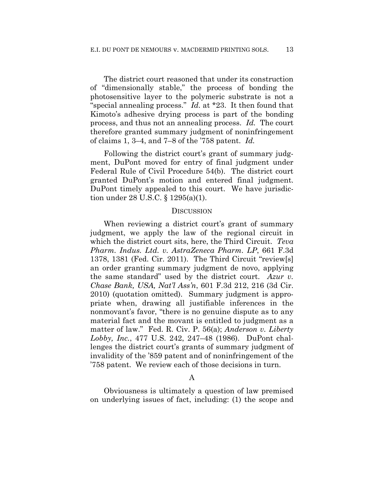The district court reasoned that under its construction of "dimensionally stable," the process of bonding the photosensitive layer to the polymeric substrate is not a "special annealing process." *Id.* at \*23. It then found that Kimoto's adhesive drying process is part of the bonding process, and thus not an annealing process. *Id.* The court therefore granted summary judgment of noninfringement of claims 1, 3–4, and 7–8 of the '758 patent. *Id.*

Following the district court's grant of summary judgment, DuPont moved for entry of final judgment under Federal Rule of Civil Procedure 54(b). The district court granted DuPont's motion and entered final judgment. DuPont timely appealed to this court. We have jurisdiction under 28 U.S.C. § 1295(a)(1).

#### **DISCUSSION**

When reviewing a district court's grant of summary judgment, we apply the law of the regional circuit in which the district court sits, here, the Third Circuit. *Teva Pharm. Indus. Ltd. v. AstraZeneca Pharm. LP*, 661 F.3d 1378, 1381 (Fed. Cir. 2011). The Third Circuit "review[s] an order granting summary judgment de novo, applying the same standard" used by the district court. *Azur v. Chase Bank, USA, Nat'l Ass'n*, 601 F.3d 212, 216 (3d Cir. 2010) (quotation omitted). Summary judgment is appropriate when, drawing all justifiable inferences in the nonmovant's favor, "there is no genuine dispute as to any material fact and the movant is entitled to judgment as a matter of law." Fed. R. Civ. P. 56(a); *Anderson v. Liberty Lobby, Inc.*, 477 U.S. 242, 247–48 (1986). DuPont challenges the district court's grants of summary judgment of invalidity of the '859 patent and of noninfringement of the '758 patent. We review each of those decisions in turn.

#### A

Obviousness is ultimately a question of law premised on underlying issues of fact, including: (1) the scope and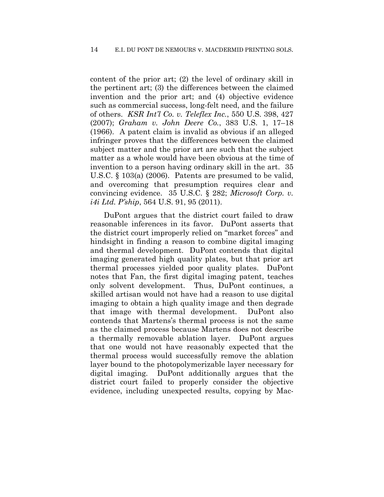content of the prior art; (2) the level of ordinary skill in the pertinent art; (3) the differences between the claimed invention and the prior art; and (4) objective evidence such as commercial success, long-felt need, and the failure of others. *KSR Int'l Co. v. Teleflex Inc.*, 550 U.S. 398, 427 (2007); *Graham v. John Deere Co.*, 383 U.S. 1, 17–18 (1966). A patent claim is invalid as obvious if an alleged infringer proves that the differences between the claimed subject matter and the prior art are such that the subject matter as a whole would have been obvious at the time of invention to a person having ordinary skill in the art. 35 U.S.C. § 103(a) (2006). Patents are presumed to be valid, and overcoming that presumption requires clear and convincing evidence. 35 U.S.C. § 282; *Microsoft Corp. v. i4i Ltd. P'ship*, 564 U.S. 91, 95 (2011).

DuPont argues that the district court failed to draw reasonable inferences in its favor. DuPont asserts that the district court improperly relied on "market forces" and hindsight in finding a reason to combine digital imaging and thermal development. DuPont contends that digital imaging generated high quality plates, but that prior art thermal processes yielded poor quality plates. DuPont notes that Fan, the first digital imaging patent, teaches only solvent development. Thus, DuPont continues, a skilled artisan would not have had a reason to use digital imaging to obtain a high quality image and then degrade that image with thermal development. DuPont also contends that Martens's thermal process is not the same as the claimed process because Martens does not describe a thermally removable ablation layer. DuPont argues that one would not have reasonably expected that the thermal process would successfully remove the ablation layer bound to the photopolymerizable layer necessary for digital imaging. DuPont additionally argues that the district court failed to properly consider the objective evidence, including unexpected results, copying by Mac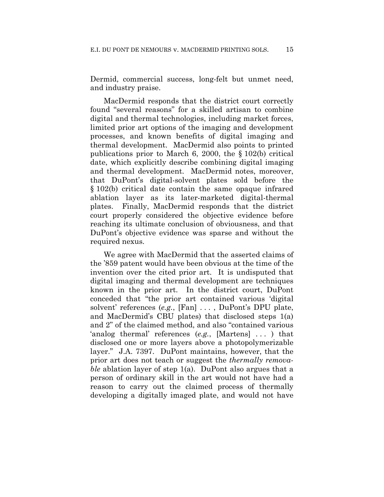Dermid, commercial success, long-felt but unmet need, and industry praise.

MacDermid responds that the district court correctly found "several reasons" for a skilled artisan to combine digital and thermal technologies, including market forces, limited prior art options of the imaging and development processes, and known benefits of digital imaging and thermal development. MacDermid also points to printed publications prior to March 6, 2000, the § 102(b) critical date, which explicitly describe combining digital imaging and thermal development. MacDermid notes, moreover, that DuPont's digital-solvent plates sold before the § 102(b) critical date contain the same opaque infrared ablation layer as its later-marketed digital-thermal plates. Finally, MacDermid responds that the district court properly considered the objective evidence before reaching its ultimate conclusion of obviousness, and that DuPont's objective evidence was sparse and without the required nexus.

We agree with MacDermid that the asserted claims of the '859 patent would have been obvious at the time of the invention over the cited prior art. It is undisputed that digital imaging and thermal development are techniques known in the prior art. In the district court, DuPont conceded that "the prior art contained various 'digital solvent' references (*e.g.*, [Fan] . . . , DuPont's DPU plate, and MacDermid's CBU plates) that disclosed steps 1(a) and 2" of the claimed method, and also "contained various 'analog thermal' references (*e.g.*, [Martens] . . . ) that disclosed one or more layers above a photopolymerizable layer." J.A. 7397. DuPont maintains, however, that the prior art does not teach or suggest the *thermally removable* ablation layer of step 1(a). DuPont also argues that a person of ordinary skill in the art would not have had a reason to carry out the claimed process of thermally developing a digitally imaged plate, and would not have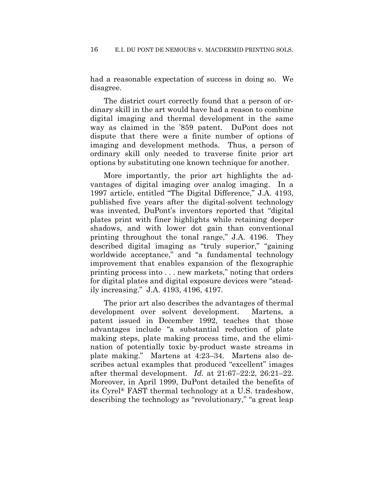had a reasonable expectation of success in doing so. We disagree.

The district court correctly found that a person of ordinary skill in the art would have had a reason to combine digital imaging and thermal development in the same way as claimed in the '859 patent. DuPont does not dispute that there were a finite number of options of imaging and development methods. Thus, a person of ordinary skill only needed to traverse finite prior art options by substituting one known technique for another.

More importantly, the prior art highlights the advantages of digital imaging over analog imaging. In a 1997 article, entitled "The Digital Difference," J.A. 4193, published five years after the digital-solvent technology was invented, DuPont's inventors reported that "digital plates print with finer highlights while retaining deeper shadows, and with lower dot gain than conventional printing throughout the tonal range," J.A. 4196. They described digital imaging as "truly superior," "gaining worldwide acceptance," and "a fundamental technology improvement that enables expansion of the flexographic printing process into . . . new markets," noting that orders for digital plates and digital exposure devices were "steadily increasing." J.A. 4193, 4196, 4197.

The prior art also describes the advantages of thermal development over solvent development. Martens, a patent issued in December 1992, teaches that those advantages include "a substantial reduction of plate making steps, plate making process time, and the elimination of potentially toxic by-product waste streams in plate making." Martens at 4:23–34. Martens also describes actual examples that produced "excellent" images after thermal development. *Id.* at 21:67–22:2, 26:21–22. Moreover, in April 1999, DuPont detailed the benefits of its Cyrel® FAST thermal technology at a U.S. tradeshow, describing the technology as "revolutionary," "a great leap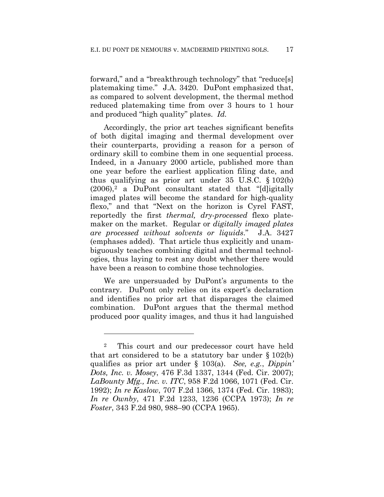forward," and a "breakthrough technology" that "reduce[s] platemaking time." J.A. 3420. DuPont emphasized that, as compared to solvent development, the thermal method reduced platemaking time from over 3 hours to 1 hour and produced "high quality" plates. *Id.*

Accordingly, the prior art teaches significant benefits of both digital imaging and thermal development over their counterparts, providing a reason for a person of ordinary skill to combine them in one sequential process. Indeed, in a January 2000 article, published more than one year before the earliest application filing date, and thus qualifying as prior art under 35 U.S.C. § 102(b)  $(2006),^2$  a DuPont consultant stated that "[d]igitally imaged plates will become the standard for high-quality flexo," and that "Next on the horizon is Cyrel FAST, reportedly the first *thermal, dry-processed* flexo platemaker on the market. Regular or *digitally imaged plates are processed without solvents or liquids*." J.A. 3427 (emphases added). That article thus explicitly and unambiguously teaches combining digital and thermal technologies, thus laying to rest any doubt whether there would have been a reason to combine those technologies.

We are unpersuaded by DuPont's arguments to the contrary. DuPont only relies on its expert's declaration and identifies no prior art that disparages the claimed combination. DuPont argues that the thermal method produced poor quality images, and thus it had languished

1

<sup>2</sup> This court and our predecessor court have held that art considered to be a statutory bar under  $\S 102(b)$ qualifies as prior art under § 103(a). *See, e.g.*, *Dippin' Dots, Inc. v. Mosey*, 476 F.3d 1337, 1344 (Fed. Cir. 2007); *LaBounty Mfg., Inc. v. ITC*, 958 F.2d 1066, 1071 (Fed. Cir. 1992); *In re Kaslow*, 707 F.2d 1366, 1374 (Fed. Cir. 1983); *In re Ownby*, 471 F.2d 1233, 1236 (CCPA 1973); *In re Foster*, 343 F.2d 980, 988–90 (CCPA 1965).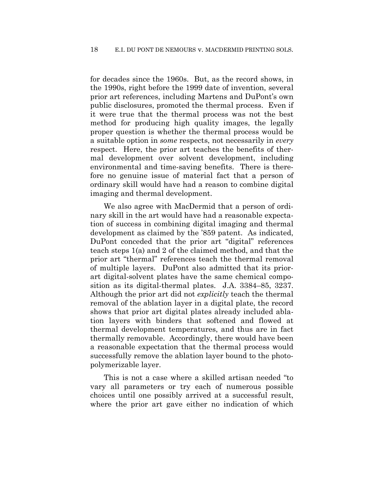for decades since the 1960s. But, as the record shows, in the 1990s, right before the 1999 date of invention, several prior art references, including Martens and DuPont's own public disclosures, promoted the thermal process. Even if it were true that the thermal process was not the best method for producing high quality images, the legally proper question is whether the thermal process would be a suitable option in *some* respects, not necessarily in *every* respect. Here, the prior art teaches the benefits of thermal development over solvent development, including environmental and time-saving benefits. There is therefore no genuine issue of material fact that a person of ordinary skill would have had a reason to combine digital imaging and thermal development.

We also agree with MacDermid that a person of ordinary skill in the art would have had a reasonable expectation of success in combining digital imaging and thermal development as claimed by the '859 patent. As indicated, DuPont conceded that the prior art "digital" references teach steps 1(a) and 2 of the claimed method, and that the prior art "thermal" references teach the thermal removal of multiple layers. DuPont also admitted that its priorart digital-solvent plates have the same chemical composition as its digital-thermal plates. J.A. 3384–85, 3237. Although the prior art did not *explicitly* teach the thermal removal of the ablation layer in a digital plate, the record shows that prior art digital plates already included ablation layers with binders that softened and flowed at thermal development temperatures, and thus are in fact thermally removable. Accordingly, there would have been a reasonable expectation that the thermal process would successfully remove the ablation layer bound to the photopolymerizable layer.

This is not a case where a skilled artisan needed "to vary all parameters or try each of numerous possible choices until one possibly arrived at a successful result, where the prior art gave either no indication of which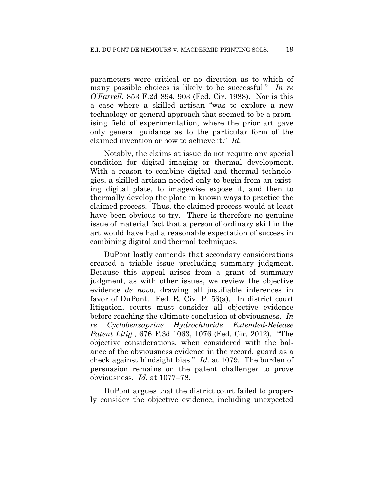parameters were critical or no direction as to which of many possible choices is likely to be successful." *In re O'Farrell*, 853 F.2d 894, 903 (Fed. Cir. 1988). Nor is this a case where a skilled artisan "was to explore a new technology or general approach that seemed to be a promising field of experimentation, where the prior art gave only general guidance as to the particular form of the claimed invention or how to achieve it." *Id.*

Notably, the claims at issue do not require any special condition for digital imaging or thermal development. With a reason to combine digital and thermal technologies, a skilled artisan needed only to begin from an existing digital plate, to imagewise expose it, and then to thermally develop the plate in known ways to practice the claimed process. Thus, the claimed process would at least have been obvious to try. There is therefore no genuine issue of material fact that a person of ordinary skill in the art would have had a reasonable expectation of success in combining digital and thermal techniques.

DuPont lastly contends that secondary considerations created a triable issue precluding summary judgment. Because this appeal arises from a grant of summary judgment, as with other issues, we review the objective evidence *de novo*, drawing all justifiable inferences in favor of DuPont. Fed. R. Civ. P. 56(a). In district court litigation, courts must consider all objective evidence before reaching the ultimate conclusion of obviousness. *In re Cyclobenzaprine Hydrochloride Extended-Release Patent Litig.*, 676 F.3d 1063, 1076 (Fed. Cir. 2012). "The objective considerations, when considered with the balance of the obviousness evidence in the record, guard as a check against hindsight bias." *Id.* at 1079. The burden of persuasion remains on the patent challenger to prove obviousness. *Id.* at 1077–78.

DuPont argues that the district court failed to properly consider the objective evidence, including unexpected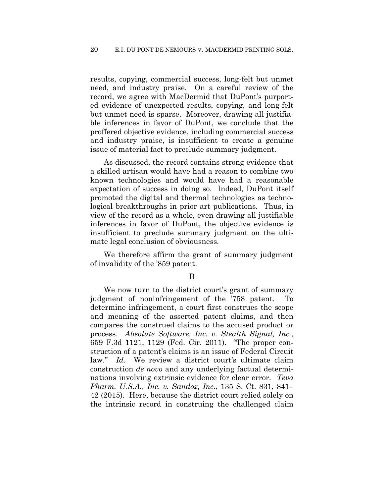results, copying, commercial success, long-felt but unmet need, and industry praise. On a careful review of the record, we agree with MacDermid that DuPont's purported evidence of unexpected results, copying, and long-felt but unmet need is sparse. Moreover, drawing all justifiable inferences in favor of DuPont, we conclude that the proffered objective evidence, including commercial success and industry praise, is insufficient to create a genuine issue of material fact to preclude summary judgment.

As discussed, the record contains strong evidence that a skilled artisan would have had a reason to combine two known technologies and would have had a reasonable expectation of success in doing so. Indeed, DuPont itself promoted the digital and thermal technologies as technological breakthroughs in prior art publications. Thus, in view of the record as a whole, even drawing all justifiable inferences in favor of DuPont, the objective evidence is insufficient to preclude summary judgment on the ultimate legal conclusion of obviousness.

We therefore affirm the grant of summary judgment of invalidity of the '859 patent.

#### B

We now turn to the district court's grant of summary judgment of noninfringement of the '758 patent. To determine infringement, a court first construes the scope and meaning of the asserted patent claims, and then compares the construed claims to the accused product or process. *Absolute Software, Inc. v. Stealth Signal, Inc.*, 659 F.3d 1121, 1129 (Fed. Cir. 2011). "The proper construction of a patent's claims is an issue of Federal Circuit law." *Id.* We review a district court's ultimate claim construction *de novo* and any underlying factual determinations involving extrinsic evidence for clear error. *Teva Pharm. U.S.A., Inc. v. Sandoz, Inc.*, 135 S. Ct. 831, 841– 42 (2015). Here, because the district court relied solely on the intrinsic record in construing the challenged claim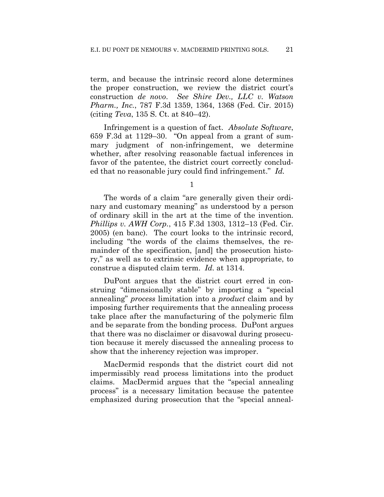term, and because the intrinsic record alone determines the proper construction, we review the district court's construction *de novo*. *See Shire Dev., LLC v. Watson Pharm., Inc.*, 787 F.3d 1359, 1364, 1368 (Fed. Cir. 2015) (citing *Teva*, 135 S. Ct. at 840–42).

Infringement is a question of fact. *Absolute Software*, 659 F.3d at 1129–30. "On appeal from a grant of summary judgment of non-infringement, we determine whether, after resolving reasonable factual inferences in favor of the patentee, the district court correctly concluded that no reasonable jury could find infringement." *Id.*

1

The words of a claim "are generally given their ordinary and customary meaning" as understood by a person of ordinary skill in the art at the time of the invention. *Phillips v. AWH Corp.*, 415 F.3d 1303, 1312–13 (Fed. Cir. 2005) (en banc). The court looks to the intrinsic record, including "the words of the claims themselves, the remainder of the specification, [and] the prosecution history," as well as to extrinsic evidence when appropriate, to construe a disputed claim term. *Id.* at 1314.

DuPont argues that the district court erred in construing "dimensionally stable" by importing a "special annealing" *process* limitation into a *product* claim and by imposing further requirements that the annealing process take place after the manufacturing of the polymeric film and be separate from the bonding process. DuPont argues that there was no disclaimer or disavowal during prosecution because it merely discussed the annealing process to show that the inherency rejection was improper.

MacDermid responds that the district court did not impermissibly read process limitations into the product claims. MacDermid argues that the "special annealing process" is a necessary limitation because the patentee emphasized during prosecution that the "special anneal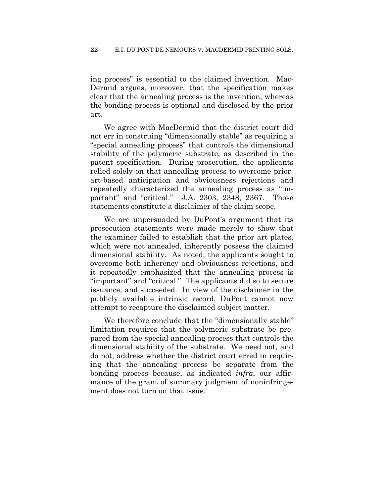ing process" is essential to the claimed invention. Mac-Dermid argues, moreover, that the specification makes clear that the annealing process is the invention, whereas the bonding process is optional and disclosed by the prior art.

We agree with MacDermid that the district court did not err in construing "dimensionally stable" as requiring a "special annealing process" that controls the dimensional stability of the polymeric substrate, as described in the patent specification. During prosecution, the applicants relied solely on that annealing process to overcome priorart-based anticipation and obviousness rejections and repeatedly characterized the annealing process as "important" and "critical." J.A. 2303, 2348, 2367. Those statements constitute a disclaimer of the claim scope.

We are unpersuaded by DuPont's argument that its prosecution statements were made merely to show that the examiner failed to establish that the prior art plates, which were not annealed, inherently possess the claimed dimensional stability. As noted, the applicants sought to overcome both inherency and obviousness rejections, and it repeatedly emphasized that the annealing process is "important" and "critical." The applicants did so to secure issuance, and succeeded. In view of the disclaimer in the publicly available intrinsic record, DuPont cannot now attempt to recapture the disclaimed subject matter.

We therefore conclude that the "dimensionally stable" limitation requires that the polymeric substrate be prepared from the special annealing process that controls the dimensional stability of the substrate. We need not, and do not, address whether the district court erred in requiring that the annealing process be separate from the bonding process because, as indicated *infra*, our affirmance of the grant of summary judgment of noninfringement does not turn on that issue.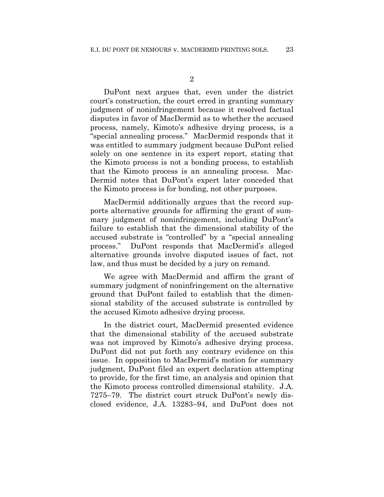DuPont next argues that, even under the district court's construction, the court erred in granting summary judgment of noninfringement because it resolved factual disputes in favor of MacDermid as to whether the accused process, namely, Kimoto's adhesive drying process, is a "special annealing process." MacDermid responds that it was entitled to summary judgment because DuPont relied solely on one sentence in its expert report, stating that the Kimoto process is not a bonding process, to establish that the Kimoto process is an annealing process. Mac-Dermid notes that DuPont's expert later conceded that the Kimoto process is for bonding, not other purposes.

MacDermid additionally argues that the record supports alternative grounds for affirming the grant of summary judgment of noninfringement, including DuPont's failure to establish that the dimensional stability of the accused substrate is "controlled" by a "special annealing process." DuPont responds that MacDermid's alleged alternative grounds involve disputed issues of fact, not law, and thus must be decided by a jury on remand.

We agree with MacDermid and affirm the grant of summary judgment of noninfringement on the alternative ground that DuPont failed to establish that the dimensional stability of the accused substrate is controlled by the accused Kimoto adhesive drying process.

In the district court, MacDermid presented evidence that the dimensional stability of the accused substrate was not improved by Kimoto's adhesive drying process. DuPont did not put forth any contrary evidence on this issue. In opposition to MacDermid's motion for summary judgment, DuPont filed an expert declaration attempting to provide, for the first time, an analysis and opinion that the Kimoto process controlled dimensional stability. J.A. 7275–79. The district court struck DuPont's newly disclosed evidence, J.A. 13283–94, and DuPont does not